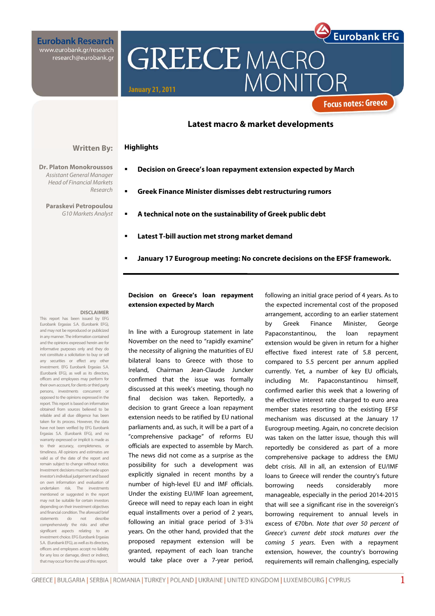**Eurobank Research** www.eurobank.gr/research research@eurobank.gr

**Dr. Platon Monokroussos**  Assistant General Manager Head of Financial Markets

**Paraskevi Petropoulou**  G10 Markets Analyst **GREECE MACRO MONI January 21, 2011** 

### **Latest macro & market developments**

#### **Highlights Written By:**

Research

- **Decision on Greece's loan repayment extension expected by March**
- **Greek Finance Minister dismisses debt restructuring rumors**
- **A technical note on the sustainability of Greek public debt**
- **Latest T-bill auction met strong market demand**
- **January 17 Eurogroup meeting: No concrete decisions on the EFSF framework.**

#### **DISCLAIMER**

This report has been issued by EFG Eurobank Ergasias S.A. (Eurobank EFG), and may not be reproduced or publicized in any manner. The information contained and the opinions expressed herein are for informative purposes only and they do not constitute a solicitation to buy or sell any securities or effect any other investment. EFG Eurobank Ergasias S.A. (Eurobank EFG), as well as its directors, officers and employees may perform for their own account, for clients or third party persons, investments concurrent or opposed to the opinions expressed in the report. This report is based on information obtained from sources believed to be reliable and all due diligence has been taken for its process. However, the data have not been verified by EFG Eurobank Ergasias S.A. (Eurobank EFG), and no warranty expressed or implicit is made as to their accuracy, completeness, or timeliness. All opinions and estimates are valid as of the date of the report and remain subject to change without notice. Investment decisions must be made upon investor's individual judgement and based on own information and evaluation of undertaken risk. The investments mentioned or suggested in the report may not be suitable for certain investors depending on their investment objectives and financial condition. The aforesaid brief statements do not describe comprehensively the risks and other significant aspects relating to an investment choice. EFG Eurobank Ergasias S.A. (Eurobank EFG), as well as its directors, officers and employees accept no liability for any loss or damage, direct or indirect, that may occur from the use of this report.

### **Decision on Greece's loan repayment extension expected by March**

In line with a Eurogroup statement in late November on the need to "rapidly examine" the necessity of aligning the maturities of EU bilateral loans to Greece with those to Ireland, Chairman Jean-Claude Juncker confirmed that the issue was formally discussed at this week's meeting, though no final decision was taken. Reportedly, a decision to grant Greece a loan repayment extension needs to be ratified by EU national parliaments and, as such, it will be a part of a "comprehensive package" of reforms EU officials are expected to assemble by March. The news did not come as a surprise as the possibility for such a development was explicitly signaled in recent months by a number of high-level EU and IMF officials. Under the existing EU/IMF loan agreement, Greece will need to repay each loan in eight equal installments over a period of 2 years, following an initial grace period of 3-3¼ years. On the other hand, provided that the proposed repayment extension will be granted, repayment of each loan tranche would take place over a 7-year period,

following an initial grace period of 4 years. As to the expected incremental cost of the proposed arrangement, according to an earlier statement by Greek Finance Minister, George Papaconstantinou, the loan repayment extension would be given in return for a higher effective fixed interest rate of 5.8 percent, compared to 5.5 percent per annum applied currently. Yet, a number of key EU officials, including Mr. Papaconstantinou himself, confirmed earlier this week that a lowering of the effective interest rate charged to euro area member states resorting to the existing EFSF mechanism was discussed at the January 17 Eurogroup meeting. Again, no concrete decision was taken on the latter issue, though this will reportedly be considered as part of a more comprehensive package to address the EMU debt crisis. All in all, an extension of EU/IMF loans to Greece will render the country's future borrowing needs considerably more manageable, especially in the period 2014-2015 that will see a significant rise in the sovereign's borrowing requirement to annual levels in excess of €70bn. Note that over 50 percent of Greece's current debt stock matures over the coming 5 years. Even with a repayment extension, however, the country's borrowing requirements will remain challenging, especially

**Eurobank EFG** 

**Focus notes: Greece**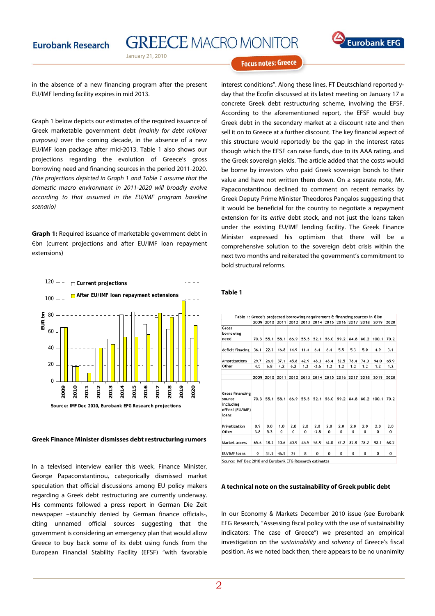



### **Focus notes: Greece**

in the absence of a new financing program after the present EU/IMF lending facility expires in mid 2013.

Graph 1 below depicts our estimates of the required issuance of Greek marketable government debt (mainly for debt rollover purposes) over the coming decade, in the absence of a new EU/IMF loan package after mid-2013. Table 1 also shows our projections regarding the evolution of Greece's gross borrowing need and financing sources in the period 2011-2020. (The projections depicted in Graph 1 and Table 1 assume that the domestic macro environment in 2011-2020 will broadly evolve according to that assumed in the EU/IMF program baseline scenario)

**Graph 1:** Required issuance of marketable government debt in €bn (current projections and after EU/IMF loan repayment extensions)



#### **Greek Finance Minister dismisses debt restructuring rumors**

In a televised interview earlier this week, Finance Minister, George Papaconstantinou, categorically dismissed market speculation that official discussions among EU policy makers regarding a Greek debt restructuring are currently underway. His comments followed a press report in German Die Zeit newspaper –staunchly denied by German finance officials-, citing unnamed official sources suggesting that the government is considering an emergency plan that would allow Greece to buy back some of its debt using funds from the European Financial Stability Facility (EFSF) "with favorable

interest conditions". Along these lines, FT Deutschland reported yday that the Ecofin discussed at its latest meeting on January 17 a concrete Greek debt restructuring scheme, involving the EFSF. According to the aforementioned report, the EFSF would buy Greek debt in the secondary market at a discount rate and then sell it on to Greece at a further discount. The key financial aspect of this structure would reportedly be the gap in the interest rates though which the EFSF can raise funds, due to its AAA rating, and the Greek sovereign yields. The article added that the costs would be borne by investors who paid Greek sovereign bonds to their value and have not written them down. On a separate note, Mr. Papaconstantinou declined to comment on recent remarks by Greek Deputy Prime Minister Theodoros Pangalos suggesting that it would be beneficial for the country to negotiate a repayment extension for its entire debt stock, and not just the loans taken under the existing EU/IMF lending facility. The Greek Finance Minister expressed his optimism that there will be a comprehensive solution to the sovereign debt crisis within the next two months and reiterated the government's commitment to bold structural reforms.

#### **Table 1**

|                                                                            |            |            |                 |                 |                 |                                              |                 |                 |                 |                 | 2009 2010 2011 2012 2013 2014 2015 2016 2017 2018 2019 | 2020            |
|----------------------------------------------------------------------------|------------|------------|-----------------|-----------------|-----------------|----------------------------------------------|-----------------|-----------------|-----------------|-----------------|--------------------------------------------------------|-----------------|
| Gross<br>borrowing<br>need                                                 | 70.3       | 55.1       | 58.1            | 66.9            |                 | 55.5 52.1                                    |                 | 56.0 59.2       | 84.8            | 80.2            | 100.1                                                  | 70.2            |
| deficit finacing                                                           | 36.1       | 22.3       | 16.8            | 14.9            | 11.4            | 6.4                                          | 6.4             | 5.5             | 5.3             | 5.0             | 4.9                                                    | 3.1             |
| Amortizations                                                              | 29.7       | 26.0       | 37.1            | 45.8            | 42.9            | 48.3                                         | 48.4            | 52.5            | 78.4            | 74.0            | 94.0                                                   | 65.9            |
| Other                                                                      | 4.5        | 6.8        | 4.2             | 6.2             | 1.2             | $-2.6$                                       | 1.2             | 1.2             | 1.2             | 1.2             | 1.2                                                    | 1.2             |
|                                                                            | 2009       |            |                 |                 |                 | 2010 2011 2012 2013 2014 2015 2016 2017 2018 |                 |                 |                 |                 | 2019                                                   | 2020            |
| <b>Gross financing</b><br>source<br>including<br>offical (EU/IMF)<br>loans | 70.3       | 55.1       | 58.1            | 66.9            | 55.5            | 52.1                                         |                 | 56.0 59.2       | 84.8            | 80.2            | 100.1                                                  | 70.2            |
| Privatization<br>Other                                                     | 0.9<br>3.8 | 0.0<br>5.3 | 1.0<br>$\bf{0}$ | 2.0<br>$\bf{0}$ | 2.0<br>$\bf{0}$ | 2.0<br>$-3.8$                                | 2.0<br>$\bf{0}$ | 2.0<br>$\bf{0}$ | 2.0<br>$\bf{0}$ | 2.0<br>$\bf{0}$ | 2.0<br>0                                               | 2.0<br>$\bf{0}$ |
| Market access                                                              | 65.6       | 18.3       | 10.6            | 40.9            | 45.5            | 53.9                                         | 54.0            | 57.2            | 82.8            | 78.2            | 98.1                                                   | 68.2            |
| <b>EU/IMF</b> loans                                                        | $\bf{0}$   | 31.5       | 46.5            | 24              | 8               | $\bf{0}$                                     | $\bf{0}$        | 0               | $\bf{0}$        | 0               | 0                                                      | 0               |

#### **A technical note on the sustainability of Greek public debt**

In our Economy & Markets December 2010 issue (see Eurobank EFG Research, "Assessing fiscal policy with the use of sustainability indicators: The case of Greece") we presented an empirical investigation on the sustainability and solvency of Greece's fiscal position. As we noted back then, there appears to be no unanimity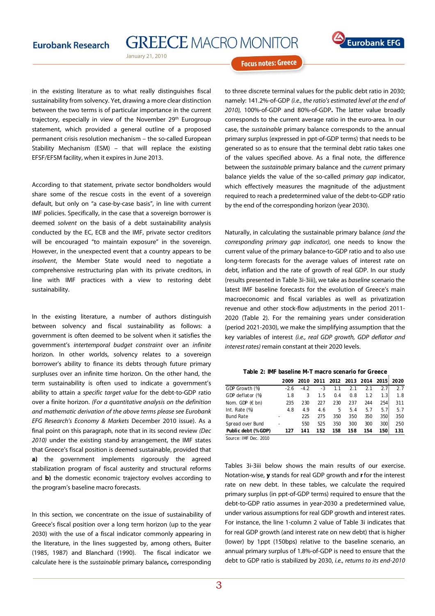January 21, 2010



**Focus notes: Greece** 

in the existing literature as to what really distinguishes fiscal sustainability from solvency. Yet, drawing a more clear distinction between the two terms is of particular importance in the current trajectory, especially in view of the November 29<sup>th</sup> Eurogroup statement, which provided a general outline of a proposed permanent crisis resolution mechanism – the so-called European Stability Mechanism (ESM) – that will replace the existing EFSF/EFSM facility, when it expires in June 2013.

According to that statement, private sector bondholders would share some of the rescue costs in the event of a sovereign default, but only on "a case-by-case basis", in line with current IMF policies. Specifically, in the case that a sovereign borrower is deemed solvent on the basis of a debt sustainability analysis conducted by the EC, ECB and the IMF, private sector creditors will be encouraged "to maintain exposure" in the sovereign. However, in the unexpected event that a country appears to be insolvent, the Member State would need to negotiate a comprehensive restructuring plan with its private creditors, in line with IMF practices with a view to restoring debt sustainability.

In the existing literature, a number of authors distinguish between solvency and fiscal sustainability as follows: a government is often deemed to be solvent when it satisfies the government's intertemporal budget constraint over an infinite horizon. In other worlds, solvency relates to a sovereign borrower's ability to finance its debts through future primary surpluses over an infinite time horizon. On the other hand, the term sustainability is often used to indicate a government's ability to attain a specific target value for the debt-to-GDP ratio over a finite horizon. (For a quantitative analysis on the definition and mathematic derivation of the above terms please see Eurobank EFG Research's Economy & Markets December 2010 issue). As a final point on this paragraph, note that in its second review (Dec 2010) under the existing stand-by arrangement, the IMF states that Greece's fiscal position is deemed sustainable, provided that **a)** the government implements rigorously the agreed stabilization program of fiscal austerity and structural reforms and **b)** the domestic economic trajectory evolves according to the program's baseline macro forecasts.

In this section, we concentrate on the issue of sustainability of Greece's fiscal position over a long term horizon (up to the year 2030) with the use of a fiscal indicator commonly appearing in the literature, in the lines suggested by, among others, Buiter (1985, 1987) and Blanchard (1990). The fiscal indicator we calculate here is the sustainable primary balance**,** corresponding to three discrete terminal values for the public debt ratio in 2030; namely: 141.2%-of-GDP (i.e., the ratio's estimated level at the end of 2010), 100%-of-GDP and 80%-of-GDP**.** The latter value broadly corresponds to the current average ratio in the euro-area. In our case, the sustainable primary balance corresponds to the annual primary surplus (expressed in ppt-of-GDP terms) that needs to be generated so as to ensure that the terminal debt ratio takes one of the values specified above. As a final note, the difference between the sustainable primary balance and the current primary balance vields the value of the so-called *primary gap* indicator, which effectively measures the magnitude of the adjustment required to reach a predetermined value of the debt-to-GDP ratio by the end of the corresponding horizon (year 2030).

Naturally, in calculating the sustainable primary balance (and the corresponding primary gap indicator), one needs to know the current value of the primary balance-to-GDP ratio and to also use long-term forecasts for the average values of interest rate on debt, inflation and the rate of growth of real GDP. In our study (results presented in Table 3i-3iii), we take as baseline scenario the latest IMF baseline forecasts for the evolution of Greece's main macroeconomic and fiscal variables as well as privatization revenue and other stock-flow adjustments in the period 2011- 2020 (Table 2). For the remaining years under consideration (period 2021-2030), we make the simplifying assumption that the key variables of interest (i.e., real GDP growth, GDP deflator and interest rates) remain constant at their 2020 levels.

**Table 2: IMF baseline M-T macro scenario for Greece**

|                          | 2009   | 2010   | 2011 |     |     | 2012 2013 2014 2015 2020 |                  |     |
|--------------------------|--------|--------|------|-----|-----|--------------------------|------------------|-----|
| GDP Growth (%)           | $-2.6$ | $-4.2$ | $-3$ | 1.1 | 2.1 | 2.1                      | 2.7 <sup>2</sup> | 27  |
| GDP deflator (%)         | 1.8    | 3      | 1.5  | 0.4 | 0.8 | 1.2                      | 1.3 <sup>1</sup> | 1.8 |
| Nom. GDP $(\epsilon$ bn) | 235    | 230    | 227  | 230 | 237 | 244                      | 254              | 311 |
| Int. Rate $(\%)$         | 4.8    | 4.9    | 4.6  | 5.  | 5.4 | 5.7                      | 5.7 <sup>1</sup> | 5.7 |
| <b>Bund Rate</b>         |        | 225    | 275  | 350 | 350 | 350                      | $350 -$          | 350 |
| Spread over Bund         |        | 550    | 525  | 350 | 300 | 300                      | $300 -$          | 250 |
| Public debt (% GDP)      | 127    | 141    | 152  | 158 | 158 | 154                      | 150.             | 131 |

Source: IMF Dec. 2010

Tables 3i-3iii below shows the main results of our exercise. Notation-wise, **y** stands for real GDP growth and **r**for the interest rate on new debt. In these tables, we calculate the required primary surplus (in ppt-of-GDP terms) required to ensure that the debt-to-GDP ratio assumes in year-2030 a predetermined value, under various assumptions for real GDP growth and interest rates. For instance, the line 1-column 2 value of Table 3i indicates that for real GDP growth (and interest rate on new debt) that is higher (lower) by 1ppt (150bps) relative to the baseline scenario, an annual primary surplus of 1.8%-of-GDP is need to ensure that the debt to GDP ratio is stabilized by 2030, i.e., returns to its end-2010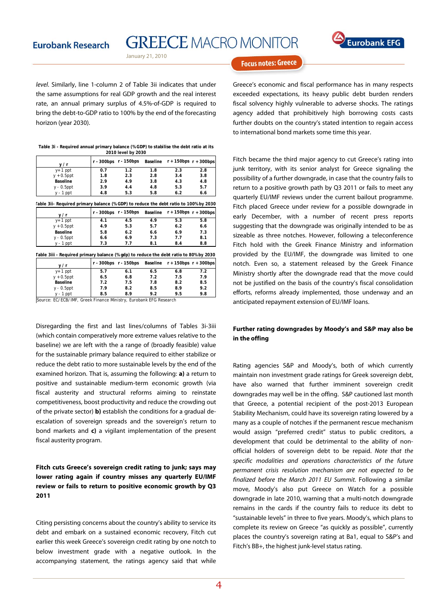**GREECE MACRO MONITOR** 

January 21, 2010



**Focus notes: Greece** 

level. Similarly, line 1-column 2 of Table 3ii indicates that under the same assumptions for real GDP growth and the real interest rate, an annual primary surplus of 4.5%-of-GDP is required to bring the debt-to-GDP ratio to 100% by the end of the forecasting horizon (year 2030).

| Table 3i - Required annual primary balance (% GDP) to stabilise the debt ratio at its |
|---------------------------------------------------------------------------------------|
| 2010 level by 2030                                                                    |

| v/r           |     | r - 300bps r - 150bps |     | Baseline $r + 150$ bps $r + 300$ bps |     |
|---------------|-----|-----------------------|-----|--------------------------------------|-----|
| $y+1$ ppt     | 0.7 | 1.2                   | 1.8 | 2.3                                  | 2.8 |
| $y + 0.5$ ppt | 1.8 | 2.3                   | 2.8 | 3.4                                  | 3.8 |
| Baseline      | 2.9 | 4.9                   | 3.8 | 4.3                                  | 4.8 |
| $y - 0.5$ ppt | 3.9 | 4.4                   | 4.8 | 5.3                                  | 5.7 |
| $y - 1$ ppt   | 4.8 | 5.3                   | 5.8 | 6.2                                  | 6.6 |
|               |     |                       |     |                                      |     |

| Table 3ii- Required primary balance (% GDP) to reduce the debt ratio to 100% by 2030 |                       |     |     |                                      |     |  |  |  |
|--------------------------------------------------------------------------------------|-----------------------|-----|-----|--------------------------------------|-----|--|--|--|
| v/r                                                                                  | r - 300bps r - 150bps |     |     | Baseline $r + 150$ bps $r + 300$ bps |     |  |  |  |
| $y+1$ ppt                                                                            | 4.1                   | 4.5 | 4.9 | 5.3                                  | 5.8 |  |  |  |
| $y + 0.5$ ppt                                                                        | 4.9                   | 5.3 | 5.7 | 6.2                                  | 6.6 |  |  |  |
| Baseline                                                                             | 5.8                   | 6.2 | 6.6 | 69                                   | 7.3 |  |  |  |

**Table 3iii - Required primary balance (% gdp) to reduce the debt ratio to 80% by 2030**

y - 0.5ppt **6.6** 6.9 7.3 7.7 8.1 y - 1 ppt **7.3 7.7 8.1 8.4 8.8**

| v/r           |     | r - 300bps r - 150bps |     | Baseline $r + 150$ bps $r + 300$ bps |     |
|---------------|-----|-----------------------|-----|--------------------------------------|-----|
| $y+1$ ppt     | 5.7 | 6.1                   | 6.5 | 6.8                                  | 7.2 |
| $y + 0.5$ ppt | 6.5 | 6.8                   | 7.2 | 7.5                                  | 7.9 |
| Baseline      | 7.2 | 7.5                   | 7.8 | 8.2                                  | 8.5 |
| $y - 0.5$ ppt | 7.9 | 8.2                   | 8.5 | 8.9                                  | 9.2 |
| $y - 1$ ppt   | 8.5 | 8.9                   | 92  | 9.5                                  | 9.8 |

Source: EC/ECB/IMF, Greek Finance Ministry, Eurobank EFG Research

Disregarding the first and last lines/columns of Tables 3i-3iii (which contain comperatively more extreme values relative to the baseline) we are left with the a range of (broadly feasible) value for the sustainable primary balance required to either stabilize or reduce the debt ratio to more sustainable levels by the end of the examined horizon. That is, assuming the following: **a)** a return to positive and sustainable medium-term economic growth (via fiscal austerity and structural reforms aiming to reinstate competitiveness, boost productivity and reduce the crowding out of the private sector) **b)** establish the conditions for a gradual deescalation of sovereign spreads and the sovereign's return to bond markets and **c)** a vigilant implementation of the present fiscal austerity program.

## **Fitch cuts Greece's sovereign credit rating to junk; says may lower rating again if country misses any quarterly EU/IMF review or fails to return to positive economic growth by Q3 2011**

Citing persisting concerns about the country's ability to service its debt and embark on a sustained economic recovery, Fitch cut earlier this week Greece's sovereign credit rating by one notch to below investment grade with a negative outlook. In the accompanying statement, the ratings agency said that while

Greece's economic and fiscal performance has in many respects exceeded expectations, its heavy public debt burden renders fiscal solvency highly vulnerable to adverse shocks. The ratings agency added that prohibitively high borrowing costs casts further doubts on the country's stated intention to regain access to international bond markets some time this year.

Fitch became the third major agency to cut Greece's rating into junk territory, with its senior analyst for Greece signaling the possibility of a further downgrade, in case that the country fails to return to a positive growth path by Q3 2011 or fails to meet any quarterly EU/IMF reviews under the current bailout programme. Fitch placed Greece under review for a possible downgrade in early December, with a number of recent press reports suggesting that the downgrade was originally intended to be as sizeable as three notches. However, following a teleconference Fitch hold with the Greek Finance Ministry and information provided by the EU/IMF, the downgrade was limited to one notch. Even so, a statement released by the Greek Finance Ministry shortly after the downgrade read that the move could not be justified on the basis of the country's fiscal consolidation efforts, reforms already implemented, those underway and an anticipated repayment extension of EU/IMF loans.

### **Further rating downgrades by Moody's and S&P may also be in the offing**

Rating agencies S&P and Moody's, both of which currently maintain non investment grade ratings for Greek sovereign debt, have also warned that further imminent sovereign credit downgrades may well be in the offing. S&P cautioned last month that Greece, a potential recipient of the post-2013 European Stability Mechanism, could have its sovereign rating lowered by a many as a couple of notches if the permanent rescue mechanism would assign "preferred credit" status to public creditors, a development that could be detrimental to the ability of nonofficial holders of sovereign debt to be repaid. Note that the specific modalities and operations characteristics of the future permanent crisis resolution mechanism are not expected to be finalized before the March 2011 EU Summit. Following a similar move, Moody's also put Greece on Watch for a possible downgrade in late 2010, warning that a multi-notch downgrade remains in the cards if the country fails to reduce its debt to "sustainable levels" in three to five years. Moody's, which plans to complete its review on Greece "as quickly as possible", currently places the country's sovereign rating at Ba1, equal to S&P's and Fitch's BB+, the highest junk-level status rating.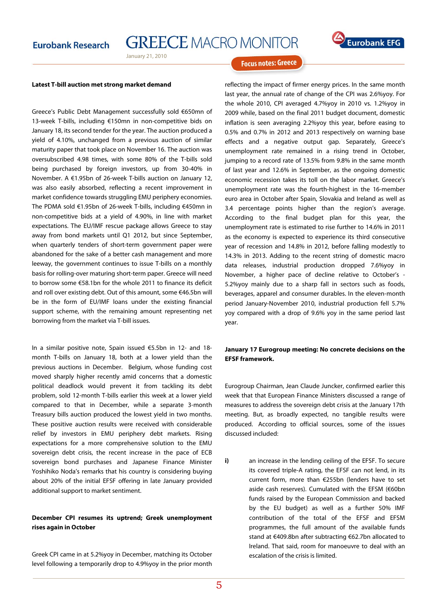January 21, 2010

# **Eurobank EFG**

**Focus notes: Greece** 

#### **Latest T-bill auction met strong market demand**

Greece's Public Debt Management successfully sold €650mn of 13-week T-bills, including €150mn in non-competitive bids on January 18, its second tender for the year. The auction produced a yield of 4.10%, unchanged from a previous auction of similar maturity paper that took place on November 16. The auction was oversubscribed 4.98 times, with some 80% of the T-bills sold being purchased by foreign investors, up from 30-40% in November. A €1.95bn of 26-week T-bills auction on January 12, was also easily absorbed, reflecting a recent improvement in market confidence towards struggling EMU periphery economies. The PDMA sold €1.95bn of 26-week T-bills, including €450mn in non-competitive bids at a yield of 4.90%, in line with market expectations. The EU/IMF rescue package allows Greece to stay away from bond markets until Q1 2012, but since September, when quarterly tenders of short-term government paper were abandoned for the sake of a better cash management and more leeway, the government continues to issue T-bills on a monthly basis for rolling-over maturing short-term paper. Greece will need to borrow some €58.1bn for the whole 2011 to finance its deficit and roll over existing debt. Out of this amount, some €46.5bn will be in the form of EU/IMF loans under the existing financial support scheme, with the remaining amount representing net borrowing from the market via T-bill issues.

In a similar positive note, Spain issued €5.5bn in 12- and 18 month T-bills on January 18, both at a lower yield than the previous auctions in December. Belgium, whose funding cost moved sharply higher recently amid concerns that a domestic political deadlock would prevent it from tackling its debt problem, sold 12-month T-bills earlier this week at a lower yield compared to that in December, while a separate 3-month Treasury bills auction produced the lowest yield in two months. These positive auction results were received with considerable relief by investors in EMU periphery debt markets. Rising expectations for a more comprehensive solution to the EMU sovereign debt crisis, the recent increase in the pace of ECB sovereign bond purchases and Japanese Finance Minister Yoshihiko Noda's remarks that his country is considering buying about 20% of the initial EFSF offering in late January provided additional support to market sentiment.

### **December CPI resumes its uptrend; Greek unemployment rises again in October**

Greek CPI came in at 5.2%yoy in December, matching its October level following a temporarily drop to 4.9%yoy in the prior month

reflecting the impact of firmer energy prices. In the same month last year, the annual rate of change of the CPI was 2.6%yoy. For the whole 2010, CPI averaged 4.7%yoy in 2010 vs. 1.2%yoy in 2009 while, based on the final 2011 budget document, domestic inflation is seen averaging 2.2%yoy this year, before easing to 0.5% and 0.7% in 2012 and 2013 respectively on warning base effects and a negative output gap. Separately, Greece's unemployment rate remained in a rising trend in October, jumping to a record rate of 13.5% from 9.8% in the same month of last year and 12.6% in September, as the ongoing domestic economic recession takes its toll on the labor market. Greece's unemployment rate was the fourth-highest in the 16-member euro area in October after Spain, Slovakia and Ireland as well as 3.4 percentage points higher than the region's average. According to the final budget plan for this year, the unemployment rate is estimated to rise further to 14.6% in 2011 as the economy is expected to experience its third consecutive year of recession and 14.8% in 2012, before falling modestly to 14.3% in 2013. Adding to the recent string of domestic macro data releases, industrial production dropped 7.6%yoy in November, a higher pace of decline relative to October's - 5.2%yoy mainly due to a sharp fall in sectors such as foods, beverages, apparel and consumer durables. In the eleven-month period January-November 2010, industrial production fell 5.7% yoy compared with a drop of 9.6% yoy in the same period last year.

#### **January 17 Eurogroup meeting: No concrete decisions on the EFSF framework.**

Eurogroup Chairman, Jean Claude Juncker, confirmed earlier this week that that European Finance Ministers discussed a range of measures to address the sovereign debt crisis at the January 17th meeting. But, as broadly expected, no tangible results were produced. According to official sources, some of the issues discussed included:

**i)** an increase in the lending ceiling of the EFSF. To secure its covered triple-A rating, the EFSF can not lend, in its current form, more than €255bn (lenders have to set aside cash reserves). Cumulated with the EFSM (€60bn funds raised by the European Commission and backed by the EU budget) as well as a further 50% IMF contribution of the total of the EFSF and EFSM programmes, the full amount of the available funds stand at €409.8bn after subtracting €62.7bn allocated to Ireland. That said, room for manoeuvre to deal with an escalation of the crisis is limited.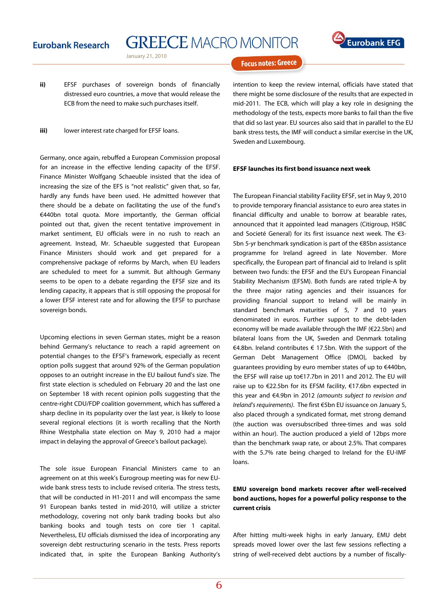**GREECE MACRO MONITOR** 

January 21, 2010

# **Focus notes: Greece**

- **ii)** EFSF purchases of sovereign bonds of financially distressed euro countries, a move that would release the ECB from the need to make such purchases itself.
- **iii)** lower interest rate charged for EFSF loans.

Germany, once again, rebuffed a European Commission proposal for an increase in the effective lending capacity of the EFSF. Finance Minister Wolfgang Schaeuble insisted that the idea of increasing the size of the EFS is "not realistic" given that, so far, hardly any funds have been used. He admitted however that there should be a debate on facilitating the use of the fund's €440bn total quota. More importantly, the German official pointed out that, given the recent tentative improvement in market sentiment, EU officials were in no rush to reach an agreement. Instead, Mr. Schaeuble suggested that European Finance Ministers should work and get prepared for a comprehensive package of reforms by March, when EU leaders are scheduled to meet for a summit. But although Germany seems to be open to a debate regarding the EFSF size and its lending capacity, it appears that is still opposing the proposal for a lower EFSF interest rate and for allowing the EFSF to purchase sovereign bonds.

Upcoming elections in seven German states, might be a reason behind Germany's reluctance to reach a rapid agreement on potential changes to the EFSF's framework, especially as recent option polls suggest that around 92% of the German population opposes to an outright increase in the EU bailout fund's size. The first state election is scheduled on February 20 and the last one on September 18 with recent opinion polls suggesting that the centre-right CDU/FDP coalition government, which has suffered a sharp decline in its popularity over the last year, is likely to loose several regional elections (it is worth recalling that the North Rhine Westphalia state election on May 9, 2010 had a major impact in delaying the approval of Greece's bailout package).

The sole issue European Financial Ministers came to an agreement on at this week's Eurogroup meeting was for new EUwide bank stress tests to include revised criteria. The stress tests, that will be conducted in H1-2011 and will encompass the same 91 European banks tested in mid-2010, will utilize a stricter methodology, covering not only bank trading books but also banking books and tough tests on core tier 1 capital. Nevertheless, EU officials dismissed the idea of incorporating any sovereign debt restructuring scenario in the tests. Press reports indicated that, in spite the European Banking Authority's intention to keep the review internal, officials have stated that there might be some disclosure of the results that are expected in mid-2011. The ECB, which will play a key role in designing the methodology of the tests, expects more banks to fail than the five that did so last year. EU sources also said that in parallel to the EU bank stress tests, the IMF will conduct a similar exercise in the UK, Sweden and Luxembourg.

#### **EFSF launches its first bond issuance next week**

The European Financial stability Facility EFSF, set in May 9, 2010 to provide temporary financial assistance to euro area states in financial difficulty and unable to borrow at bearable rates, announced that it appointed lead managers (Citigroup, HSBC and Societé General) for its first issuance next week. The €3- 5bn 5-yr benchmark syndication is part of the €85bn assistance programme for Ireland agreed in late November. More specifically, the European part of financial aid to Ireland is split between two funds: the EFSF and the EU's European Financial Stability Mechanism (EFSM). Both funds are rated triple-A by the three major rating agencies and their issuances for providing financial support to Ireland will be mainly in standard benchmark maturities of 5, 7 and 10 years denominated in euros. Further support to the debt-laden economy will be made available through the IMF (€22.5bn) and bilateral loans from the UK, Sweden and Denmark totaling €4.8bn. Ireland contributes € 17.5bn. With the support of the German Debt Management Office (DMO), backed by guarantees providing by euro member states of up to €440bn, the EFSF will raise up to€17.7bn in 2011 and 2012. The EU will raise up to €22.5bn for its EFSM facility, €17.6bn expected in this year and €4.9bn in 2012 (amounts subject to revision and Ireland's requirements). The first €5bn EU issuance on January 5, also placed through a syndicated format, met strong demand (the auction was oversubscribed three-times and was sold within an hour). The auction produced a yield of 12bps more than the benchmark swap rate, or about 2.5%. That compares with the 5.7% rate being charged to Ireland for the EU-IMF loans.

## **EMU sovereign bond markets recover after well-received bond auctions, hopes for a powerful policy response to the current crisis**

After hitting multi-week highs in early January, EMU debt spreads moved lower over the last few sessions reflecting a string of well-received debt auctions by a number of fiscally-

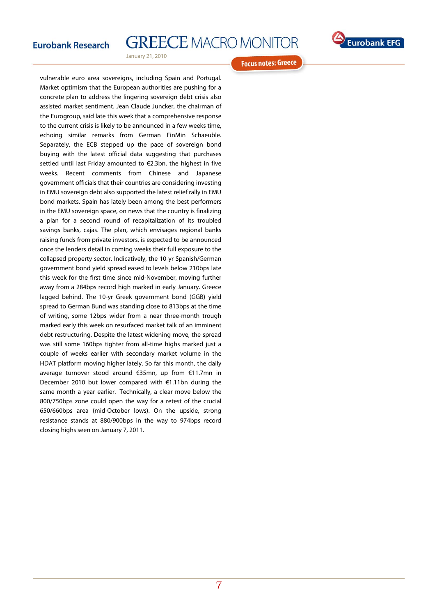# **GREECE MACRO MONITOR**



January 21, 2010

**Focus notes: Greece** 

vulnerable euro area sovereigns, including Spain and Portugal. Market optimism that the European authorities are pushing for a concrete plan to address the lingering sovereign debt crisis also assisted market sentiment. Jean Claude Juncker, the chairman of the Eurogroup, said late this week that a comprehensive response to the current crisis is likely to be announced in a few weeks time, echoing similar remarks from German FinMin Schaeuble. Separately, the ECB stepped up the pace of sovereign bond buying with the latest official data suggesting that purchases settled until last Friday amounted to €2.3bn, the highest in five weeks. Recent comments from Chinese and Japanese government officials that their countries are considering investing in EMU sovereign debt also supported the latest relief rally in EMU bond markets. Spain has lately been among the best performers in the EMU sovereign space, on news that the country is finalizing a plan for a second round of recapitalization of its troubled savings banks, cajas. The plan, which envisages regional banks raising funds from private investors, is expected to be announced once the lenders detail in coming weeks their full exposure to the collapsed property sector. Indicatively, the 10-yr Spanish/German government bond yield spread eased to levels below 210bps late this week for the first time since mid-November, moving further away from a 284bps record high marked in early January. Greece lagged behind. The 10-yr Greek government bond (GGB) yield spread to German Bund was standing close to 813bps at the time of writing, some 12bps wider from a near three-month trough marked early this week on resurfaced market talk of an imminent debt restructuring. Despite the latest widening move, the spread was still some 160bps tighter from all-time highs marked just a couple of weeks earlier with secondary market volume in the HDAT platform moving higher lately. So far this month, the daily average turnover stood around €35mn, up from €11.7mn in December 2010 but lower compared with €1.11bn during the same month a year earlier. Technically, a clear move below the 800/750bps zone could open the way for a retest of the crucial 650/660bps area (mid-October lows). On the upside, strong resistance stands at 880/900bps in the way to 974bps record closing highs seen on January 7, 2011.